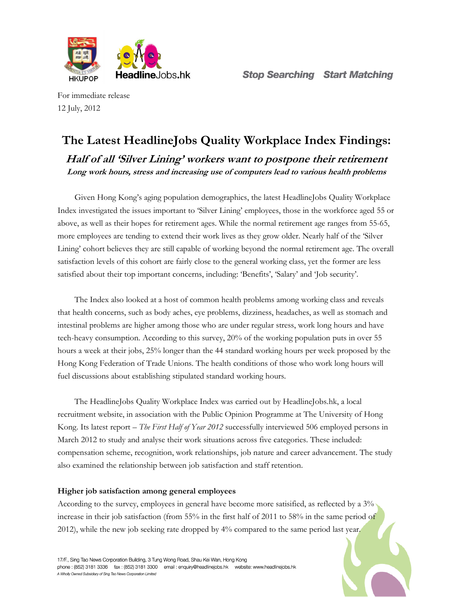

For immediate release 12 July, 2012

# The Latest HeadlineJobs Quality Workplace Index Findings: Half of all 'Silver Lining' workers want to postpone their retirement

Long work hours, stress and increasing use of computers lead to various health problems

Given Hong Kong's aging population demographics, the latest HeadlineJobs Quality Workplace Index investigated the issues important to 'Silver Lining' employees, those in the workforce aged 55 or above, as well as their hopes for retirement ages. While the normal retirement age ranges from 55-65, more employees are tending to extend their work lives as they grow older. Nearly half of the 'Silver Lining' cohort believes they are still capable of working beyond the normal retirement age. The overall satisfaction levels of this cohort are fairly close to the general working class, yet the former are less satisfied about their top important concerns, including: 'Benefits', 'Salary' and 'Job security'.

The Index also looked at a host of common health problems among working class and reveals that health concerns, such as body aches, eye problems, dizziness, headaches, as well as stomach and intestinal problems are higher among those who are under regular stress, work long hours and have tech-heavy consumption. According to this survey, 20% of the working population puts in over 55 hours a week at their jobs, 25% longer than the 44 standard working hours per week proposed by the Hong Kong Federation of Trade Unions. The health conditions of those who work long hours will fuel discussions about establishing stipulated standard working hours.

The HeadlineJobs Quality Workplace Index was carried out by HeadlineJobs.hk, a local recruitment website, in association with the Public Opinion Programme at The University of Hong Kong. Its latest report – The First Half of Year 2012 successfully interviewed 506 employed persons in March 2012 to study and analyse their work situations across five categories. These included: compensation scheme, recognition, work relationships, job nature and career advancement. The study also examined the relationship between job satisfaction and staff retention.

### Higher job satisfaction among general employees

According to the survey, employees in general have become more satisified, as reflected by a 3% increase in their job satisfaction (from 55% in the first half of 2011 to 58% in the same period of 2012), while the new job seeking rate dropped by 4% compared to the same period last year.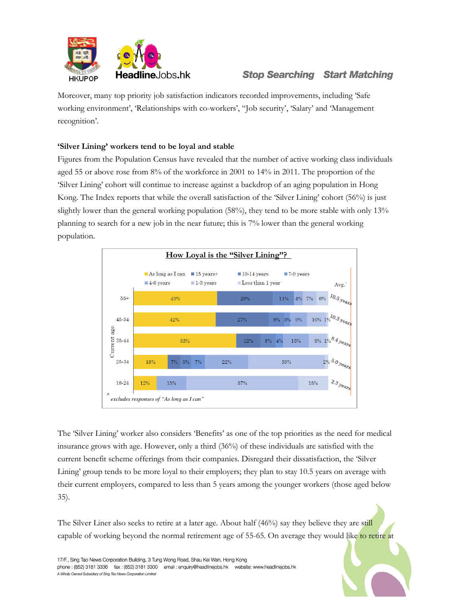

## **Stop Searching Start Matching**

Moreover, many top priority job satisfaction indicators recorded improvements, including 'Safe working environment', 'Relationships with co-workers', "Job security', 'Salary' and 'Management recognition'.

### 'Silver Lining' workers tend to be loyal and stable

Figures from the Population Census have revealed that the number of active working class individuals aged 55 or above rose from 8% of the workforce in 2001 to 14% in 2011. The proportion of the 'Silver Lining' cohort will continue to increase against a backdrop of an aging population in Hong Kong. The Index reports that while the overall satisfaction of the 'Silver Lining' cohort (56%) is just slightly lower than the general working population (58%), they tend to be more stable with only 13% planning to search for a new job in the near future; this is 7% lower than the general working population.



The 'Silver Lining' worker also considers 'Benefits' as one of the top priorities as the need for medical insurance grows with age. However, only a third (36%) of these individuals are satisfied with the current benefit scheme offerings from their companies. Disregard their dissatisfaction, the 'Silver Lining' group tends to be more loyal to their employers; they plan to stay 10.5 years on average with their current employers, compared to less than 5 years among the younger workers (those aged below 35).

The Silver Liner also seeks to retire at a later age. About half (46%) say they believe they are still capable of working beyond the normal retirement age of 55-65. On average they would like to retire at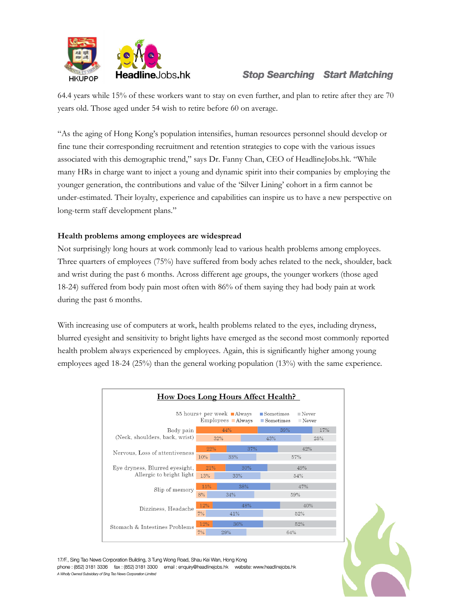

### **Stop Searching Start Matching**

64.4 years while 15% of these workers want to stay on even further, and plan to retire after they are 70 years old. Those aged under 54 wish to retire before 60 on average.

"As the aging of Hong Kong's population intensifies, human resources personnel should develop or fine tune their corresponding recruitment and retention strategies to cope with the various issues associated with this demographic trend," says Dr. Fanny Chan, CEO of HeadlineJobs.hk. "While many HRs in charge want to inject a young and dynamic spirit into their companies by employing the younger generation, the contributions and value of the 'Silver Lining' cohort in a firm cannot be under-estimated. Their loyalty, experience and capabilities can inspire us to have a new perspective on long-term staff development plans."

### Health problems among employees are widespread

Not surprisingly long hours at work commonly lead to various health problems among employees. Three quarters of employees (75%) have suffered from body aches related to the neck, shoulder, back and wrist during the past 6 months. Across different age groups, the younger workers (those aged 18-24) suffered from body pain most often with 86% of them saying they had body pain at work during the past 6 months.

With increasing use of computers at work, health problems related to the eyes, including dryness, blurred eyesight and sensitivity to bright lights have emerged as the second most commonly reported health problem always experienced by employees. Again, this is significantly higher among young employees aged 18-24 (25%) than the general working population (13%) with the same experience.



17/F., Sing Tao News Corporation Building, 3 Tung Wong Road, Shau Kei Wan, Hong Kong phone: (852) 3181 3336 fax: (852) 3181 3300 email: enquiry@headlinejobs.hk website: www.headlinejobs.hk A Wholly Owned Subsidiary of Sing Tao News Corporation Limited